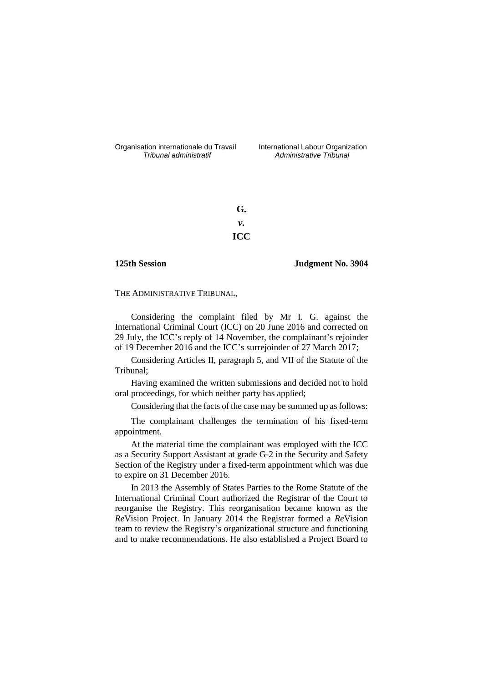Organisation internationale du Travail International Labour Organization<br>*Tribunal administratif Administrative Tribunal* 

*Tribunal administratif Administrative Tribunal*

**G.** *v.* **ICC**

## **125th Session Judgment No. 3904**

THE ADMINISTRATIVE TRIBUNAL,

Considering the complaint filed by Mr I. G. against the International Criminal Court (ICC) on 20 June 2016 and corrected on 29 July, the ICC's reply of 14 November, the complainant's rejoinder of 19 December 2016 and the ICC's surrejoinder of 27 March 2017;

Considering Articles II, paragraph 5, and VII of the Statute of the Tribunal;

Having examined the written submissions and decided not to hold oral proceedings, for which neither party has applied;

Considering that the facts of the case may be summed up as follows:

The complainant challenges the termination of his fixed-term appointment.

At the material time the complainant was employed with the ICC as a Security Support Assistant at grade G-2 in the Security and Safety Section of the Registry under a fixed-term appointment which was due to expire on 31 December 2016.

In 2013 the Assembly of States Parties to the Rome Statute of the International Criminal Court authorized the Registrar of the Court to reorganise the Registry. This reorganisation became known as the *Re*Vision Project. In January 2014 the Registrar formed a *Re*Vision team to review the Registry's organizational structure and functioning and to make recommendations. He also established a Project Board to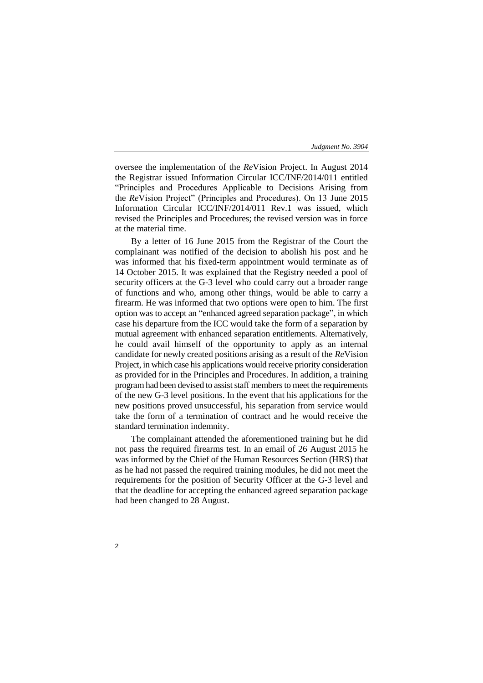oversee the implementation of the *Re*Vision Project. In August 2014 the Registrar issued Information Circular ICC/INF/2014/011 entitled "Principles and Procedures Applicable to Decisions Arising from the *Re*Vision Project" (Principles and Procedures). On 13 June 2015 Information Circular ICC/INF/2014/011 Rev.1 was issued, which revised the Principles and Procedures; the revised version was in force at the material time.

By a letter of 16 June 2015 from the Registrar of the Court the complainant was notified of the decision to abolish his post and he was informed that his fixed-term appointment would terminate as of 14 October 2015. It was explained that the Registry needed a pool of security officers at the G-3 level who could carry out a broader range of functions and who, among other things, would be able to carry a firearm. He was informed that two options were open to him. The first option was to accept an "enhanced agreed separation package", in which case his departure from the ICC would take the form of a separation by mutual agreement with enhanced separation entitlements. Alternatively, he could avail himself of the opportunity to apply as an internal candidate for newly created positions arising as a result of the *Re*Vision Project, in which case his applications would receive priority consideration as provided for in the Principles and Procedures. In addition, a training program had been devised to assist staff members to meet the requirements of the new G-3 level positions. In the event that his applications for the new positions proved unsuccessful, his separation from service would take the form of a termination of contract and he would receive the standard termination indemnity.

The complainant attended the aforementioned training but he did not pass the required firearms test. In an email of 26 August 2015 he was informed by the Chief of the Human Resources Section (HRS) that as he had not passed the required training modules, he did not meet the requirements for the position of Security Officer at the G-3 level and that the deadline for accepting the enhanced agreed separation package had been changed to 28 August.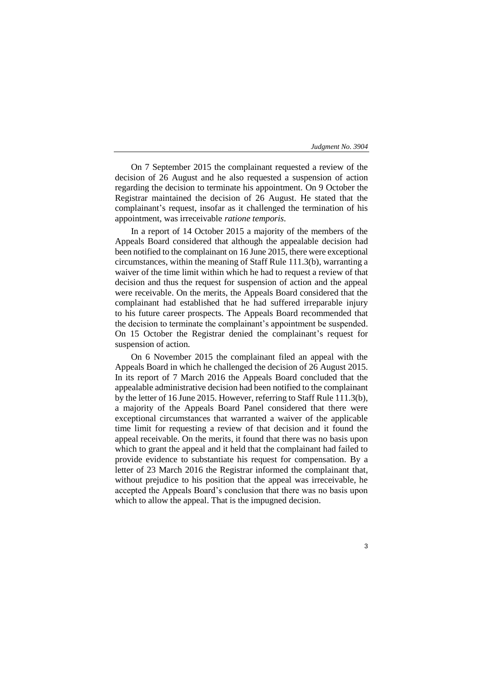3

On 7 September 2015 the complainant requested a review of the decision of 26 August and he also requested a suspension of action regarding the decision to terminate his appointment. On 9 October the Registrar maintained the decision of 26 August. He stated that the complainant's request, insofar as it challenged the termination of his appointment, was irreceivable *ratione temporis*.

In a report of 14 October 2015 a majority of the members of the Appeals Board considered that although the appealable decision had been notified to the complainant on 16 June 2015, there were exceptional circumstances, within the meaning of Staff Rule 111.3(b), warranting a waiver of the time limit within which he had to request a review of that decision and thus the request for suspension of action and the appeal were receivable. On the merits, the Appeals Board considered that the complainant had established that he had suffered irreparable injury to his future career prospects. The Appeals Board recommended that the decision to terminate the complainant's appointment be suspended. On 15 October the Registrar denied the complainant's request for suspension of action.

On 6 November 2015 the complainant filed an appeal with the Appeals Board in which he challenged the decision of 26 August 2015. In its report of 7 March 2016 the Appeals Board concluded that the appealable administrative decision had been notified to the complainant by the letter of 16 June 2015. However, referring to Staff Rule 111.3(b), a majority of the Appeals Board Panel considered that there were exceptional circumstances that warranted a waiver of the applicable time limit for requesting a review of that decision and it found the appeal receivable. On the merits, it found that there was no basis upon which to grant the appeal and it held that the complainant had failed to provide evidence to substantiate his request for compensation. By a letter of 23 March 2016 the Registrar informed the complainant that, without prejudice to his position that the appeal was irreceivable, he accepted the Appeals Board's conclusion that there was no basis upon which to allow the appeal. That is the impugned decision.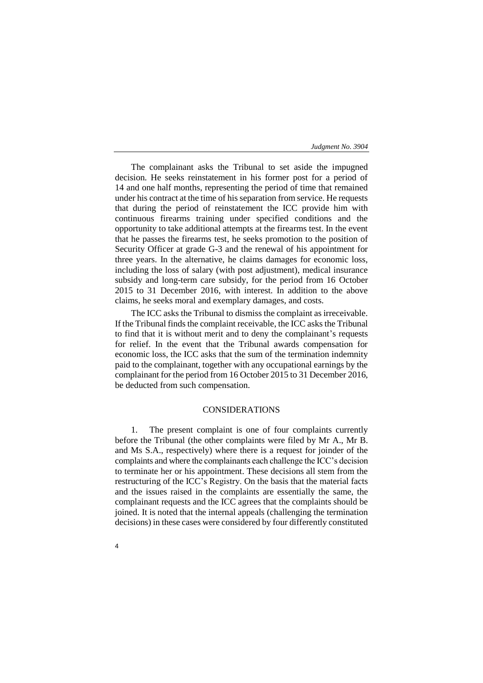The complainant asks the Tribunal to set aside the impugned decision. He seeks reinstatement in his former post for a period of 14 and one half months, representing the period of time that remained under his contract at the time of his separation from service. He requests that during the period of reinstatement the ICC provide him with continuous firearms training under specified conditions and the opportunity to take additional attempts at the firearms test. In the event that he passes the firearms test, he seeks promotion to the position of Security Officer at grade G-3 and the renewal of his appointment for three years. In the alternative, he claims damages for economic loss, including the loss of salary (with post adjustment), medical insurance subsidy and long-term care subsidy, for the period from 16 October 2015 to 31 December 2016, with interest. In addition to the above claims, he seeks moral and exemplary damages, and costs.

The ICC asks the Tribunal to dismiss the complaint as irreceivable. If the Tribunal finds the complaint receivable, the ICC asks the Tribunal to find that it is without merit and to deny the complainant's requests for relief. In the event that the Tribunal awards compensation for economic loss, the ICC asks that the sum of the termination indemnity paid to the complainant, together with any occupational earnings by the complainant for the period from 16 October 2015 to 31 December 2016, be deducted from such compensation.

# CONSIDERATIONS

1. The present complaint is one of four complaints currently before the Tribunal (the other complaints were filed by Mr A., Mr B. and Ms S.A., respectively) where there is a request for joinder of the complaints and where the complainants each challenge the ICC's decision to terminate her or his appointment. These decisions all stem from the restructuring of the ICC's Registry. On the basis that the material facts and the issues raised in the complaints are essentially the same, the complainant requests and the ICC agrees that the complaints should be joined. It is noted that the internal appeals (challenging the termination decisions) in these cases were considered by four differently constituted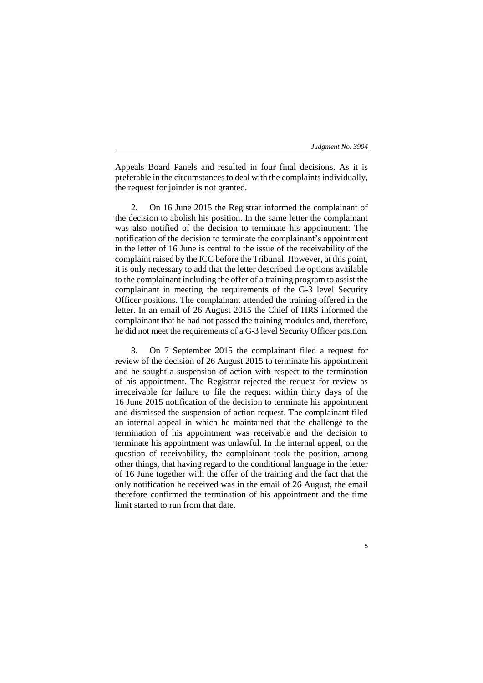Appeals Board Panels and resulted in four final decisions. As it is preferable in the circumstances to deal with the complaints individually, the request for joinder is not granted.

2. On 16 June 2015 the Registrar informed the complainant of the decision to abolish his position. In the same letter the complainant was also notified of the decision to terminate his appointment. The notification of the decision to terminate the complainant's appointment in the letter of 16 June is central to the issue of the receivability of the complaint raised by the ICC before the Tribunal. However, at this point, it is only necessary to add that the letter described the options available to the complainant including the offer of a training program to assist the complainant in meeting the requirements of the G-3 level Security Officer positions. The complainant attended the training offered in the letter. In an email of 26 August 2015 the Chief of HRS informed the complainant that he had not passed the training modules and, therefore, he did not meet the requirements of a G-3 level Security Officer position.

3. On 7 September 2015 the complainant filed a request for review of the decision of 26 August 2015 to terminate his appointment and he sought a suspension of action with respect to the termination of his appointment. The Registrar rejected the request for review as irreceivable for failure to file the request within thirty days of the 16 June 2015 notification of the decision to terminate his appointment and dismissed the suspension of action request. The complainant filed an internal appeal in which he maintained that the challenge to the termination of his appointment was receivable and the decision to terminate his appointment was unlawful. In the internal appeal, on the question of receivability, the complainant took the position, among other things, that having regard to the conditional language in the letter of 16 June together with the offer of the training and the fact that the only notification he received was in the email of 26 August, the email therefore confirmed the termination of his appointment and the time limit started to run from that date.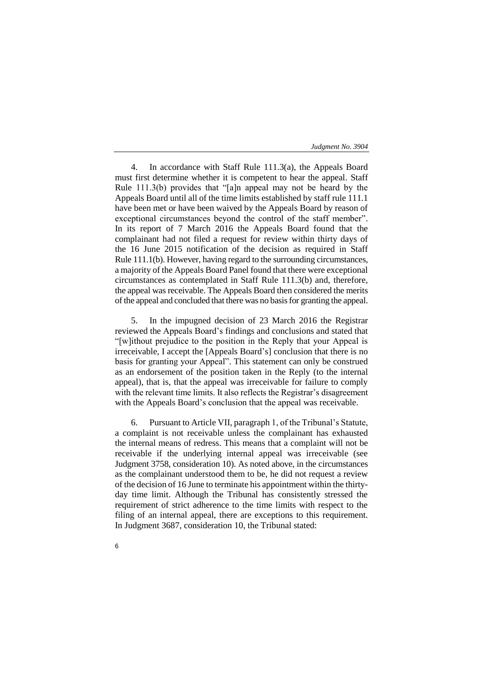4. In accordance with Staff Rule 111.3(a), the Appeals Board must first determine whether it is competent to hear the appeal. Staff Rule 111.3(b) provides that "[a]n appeal may not be heard by the Appeals Board until all of the time limits established by staff rule 111.1 have been met or have been waived by the Appeals Board by reason of exceptional circumstances beyond the control of the staff member". In its report of 7 March 2016 the Appeals Board found that the complainant had not filed a request for review within thirty days of the 16 June 2015 notification of the decision as required in Staff Rule 111.1(b). However, having regard to the surrounding circumstances, a majority of the Appeals Board Panel found that there were exceptional circumstances as contemplated in Staff Rule 111.3(b) and, therefore, the appeal was receivable. The Appeals Board then considered the merits of the appeal and concluded that there was no basis for granting the appeal.

5. In the impugned decision of 23 March 2016 the Registrar reviewed the Appeals Board's findings and conclusions and stated that "[w]ithout prejudice to the position in the Reply that your Appeal is irreceivable, I accept the [Appeals Board's] conclusion that there is no basis for granting your Appeal". This statement can only be construed as an endorsement of the position taken in the Reply (to the internal appeal), that is, that the appeal was irreceivable for failure to comply with the relevant time limits. It also reflects the Registrar's disagreement with the Appeals Board's conclusion that the appeal was receivable.

6. Pursuant to Article VII, paragraph 1, of the Tribunal's Statute, a complaint is not receivable unless the complainant has exhausted the internal means of redress. This means that a complaint will not be receivable if the underlying internal appeal was irreceivable (see Judgment 3758, consideration 10). As noted above, in the circumstances as the complainant understood them to be, he did not request a review of the decision of 16 June to terminate his appointment within the thirtyday time limit. Although the Tribunal has consistently stressed the requirement of strict adherence to the time limits with respect to the filing of an internal appeal, there are exceptions to this requirement. In Judgment 3687, consideration 10, the Tribunal stated: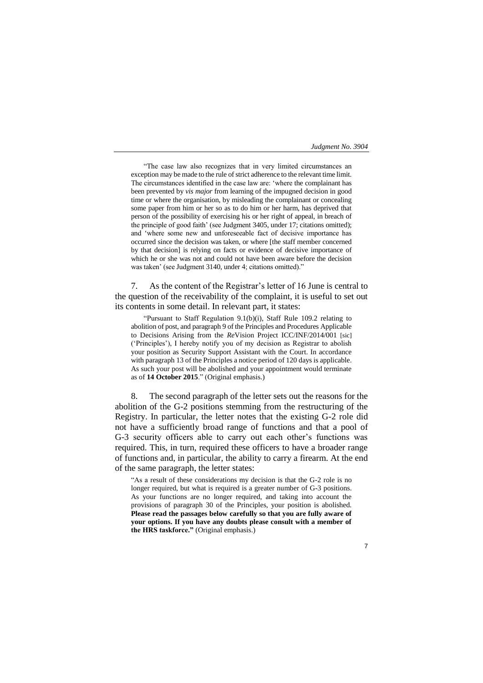"The case law also recognizes that in very limited circumstances an exception may be made to the rule of strict adherence to the relevant time limit. The circumstances identified in the case law are: 'where the complainant has been prevented by *vis major* from learning of the impugned decision in good time or where the organisation, by misleading the complainant or concealing some paper from him or her so as to do him or her harm, has deprived that person of the possibility of exercising his or her right of appeal, in breach of the principle of good faith' (see Judgment 3405, under 17; citations omitted); and 'where some new and unforeseeable fact of decisive importance has occurred since the decision was taken, or where [the staff member concerned by that decision] is relying on facts or evidence of decisive importance of which he or she was not and could not have been aware before the decision was taken' (see Judgment 3140, under 4; citations omitted)."

7. As the content of the Registrar's letter of 16 June is central to the question of the receivability of the complaint, it is useful to set out its contents in some detail. In relevant part, it states:

"Pursuant to Staff Regulation 9.1(b)(i), Staff Rule 109.2 relating to abolition of post, and paragraph 9 of the Principles and Procedures Applicable to Decisions Arising from the *Re*Vision Project ICC/INF/2014/001 [sic] ('Principles'), I hereby notify you of my decision as Registrar to abolish your position as Security Support Assistant with the Court. In accordance with paragraph 13 of the Principles a notice period of 120 days is applicable. As such your post will be abolished and your appointment would terminate as of **14 October 2015**." (Original emphasis.)

8. The second paragraph of the letter sets out the reasons for the abolition of the G-2 positions stemming from the restructuring of the Registry. In particular, the letter notes that the existing G-2 role did not have a sufficiently broad range of functions and that a pool of G-3 security officers able to carry out each other's functions was required. This, in turn, required these officers to have a broader range of functions and, in particular, the ability to carry a firearm. At the end of the same paragraph, the letter states:

"As a result of these considerations my decision is that the G-2 role is no longer required, but what is required is a greater number of G-3 positions. As your functions are no longer required, and taking into account the provisions of paragraph 30 of the Principles, your position is abolished. **Please read the passages below carefully so that you are fully aware of your options. If you have any doubts please consult with a member of the HRS taskforce."** (Original emphasis.)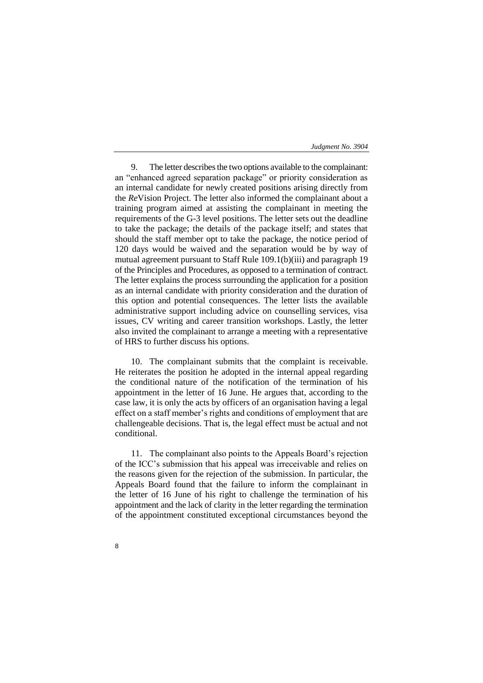9. The letter describes the two options available to the complainant: an "enhanced agreed separation package" or priority consideration as an internal candidate for newly created positions arising directly from the *Re*Vision Project. The letter also informed the complainant about a training program aimed at assisting the complainant in meeting the requirements of the G-3 level positions. The letter sets out the deadline to take the package; the details of the package itself; and states that should the staff member opt to take the package, the notice period of 120 days would be waived and the separation would be by way of mutual agreement pursuant to Staff Rule 109.1(b)(iii) and paragraph 19 of the Principles and Procedures, as opposed to a termination of contract. The letter explains the process surrounding the application for a position as an internal candidate with priority consideration and the duration of this option and potential consequences. The letter lists the available administrative support including advice on counselling services, visa issues, CV writing and career transition workshops. Lastly, the letter also invited the complainant to arrange a meeting with a representative of HRS to further discuss his options.

10. The complainant submits that the complaint is receivable. He reiterates the position he adopted in the internal appeal regarding the conditional nature of the notification of the termination of his appointment in the letter of 16 June. He argues that, according to the case law, it is only the acts by officers of an organisation having a legal effect on a staff member's rights and conditions of employment that are challengeable decisions. That is, the legal effect must be actual and not conditional.

11. The complainant also points to the Appeals Board's rejection of the ICC's submission that his appeal was irreceivable and relies on the reasons given for the rejection of the submission. In particular, the Appeals Board found that the failure to inform the complainant in the letter of 16 June of his right to challenge the termination of his appointment and the lack of clarity in the letter regarding the termination of the appointment constituted exceptional circumstances beyond the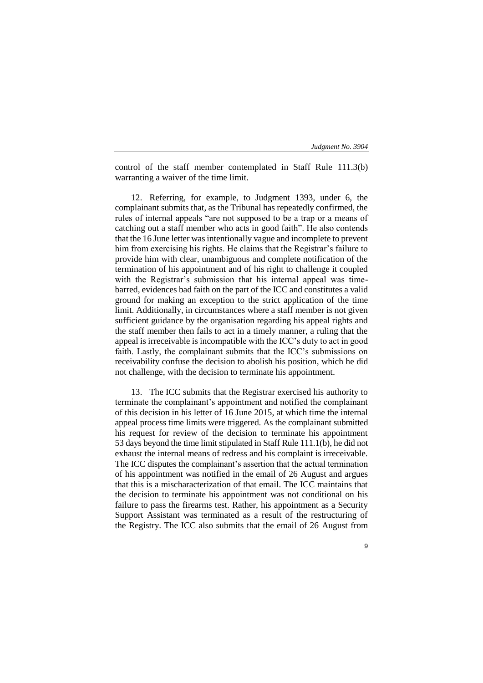control of the staff member contemplated in Staff Rule 111.3(b) warranting a waiver of the time limit.

12. Referring, for example, to Judgment 1393, under 6, the complainant submits that, as the Tribunal has repeatedly confirmed, the rules of internal appeals "are not supposed to be a trap or a means of catching out a staff member who acts in good faith". He also contends that the 16 June letter was intentionally vague and incomplete to prevent him from exercising his rights. He claims that the Registrar's failure to provide him with clear, unambiguous and complete notification of the termination of his appointment and of his right to challenge it coupled with the Registrar's submission that his internal appeal was timebarred, evidences bad faith on the part of the ICC and constitutes a valid ground for making an exception to the strict application of the time limit. Additionally, in circumstances where a staff member is not given sufficient guidance by the organisation regarding his appeal rights and the staff member then fails to act in a timely manner, a ruling that the appeal is irreceivable is incompatible with the ICC's duty to act in good faith. Lastly, the complainant submits that the ICC's submissions on receivability confuse the decision to abolish his position, which he did not challenge, with the decision to terminate his appointment.

13. The ICC submits that the Registrar exercised his authority to terminate the complainant's appointment and notified the complainant of this decision in his letter of 16 June 2015, at which time the internal appeal process time limits were triggered. As the complainant submitted his request for review of the decision to terminate his appointment 53 days beyond the time limit stipulated in Staff Rule 111.1(b), he did not exhaust the internal means of redress and his complaint is irreceivable. The ICC disputes the complainant's assertion that the actual termination of his appointment was notified in the email of 26 August and argues that this is a mischaracterization of that email. The ICC maintains that the decision to terminate his appointment was not conditional on his failure to pass the firearms test. Rather, his appointment as a Security Support Assistant was terminated as a result of the restructuring of the Registry. The ICC also submits that the email of 26 August from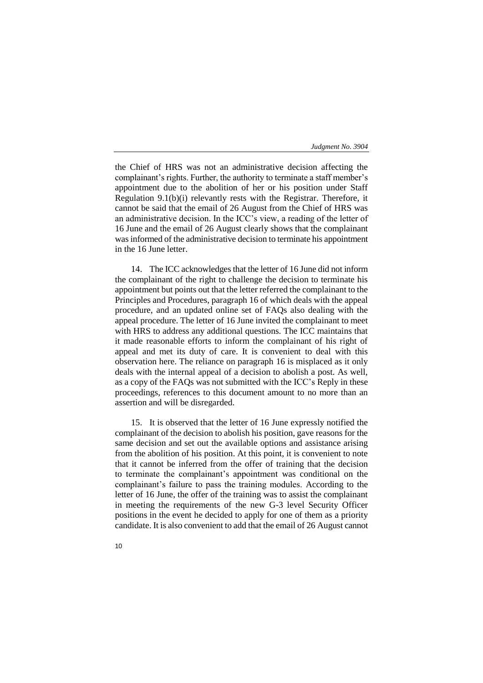the Chief of HRS was not an administrative decision affecting the complainant's rights. Further, the authority to terminate a staff member's appointment due to the abolition of her or his position under Staff Regulation 9.1(b)(i) relevantly rests with the Registrar. Therefore, it cannot be said that the email of 26 August from the Chief of HRS was an administrative decision. In the ICC's view, a reading of the letter of 16 June and the email of 26 August clearly shows that the complainant was informed of the administrative decision to terminate his appointment in the 16 June letter.

14. The ICC acknowledges that the letter of 16 June did not inform the complainant of the right to challenge the decision to terminate his appointment but points out that the letter referred the complainant to the Principles and Procedures, paragraph 16 of which deals with the appeal procedure, and an updated online set of FAQs also dealing with the appeal procedure. The letter of 16 June invited the complainant to meet with HRS to address any additional questions. The ICC maintains that it made reasonable efforts to inform the complainant of his right of appeal and met its duty of care. It is convenient to deal with this observation here. The reliance on paragraph 16 is misplaced as it only deals with the internal appeal of a decision to abolish a post. As well, as a copy of the FAQs was not submitted with the ICC's Reply in these proceedings, references to this document amount to no more than an assertion and will be disregarded.

15. It is observed that the letter of 16 June expressly notified the complainant of the decision to abolish his position, gave reasons for the same decision and set out the available options and assistance arising from the abolition of his position. At this point, it is convenient to note that it cannot be inferred from the offer of training that the decision to terminate the complainant's appointment was conditional on the complainant's failure to pass the training modules. According to the letter of 16 June, the offer of the training was to assist the complainant in meeting the requirements of the new G-3 level Security Officer positions in the event he decided to apply for one of them as a priority candidate. It is also convenient to add that the email of 26 August cannot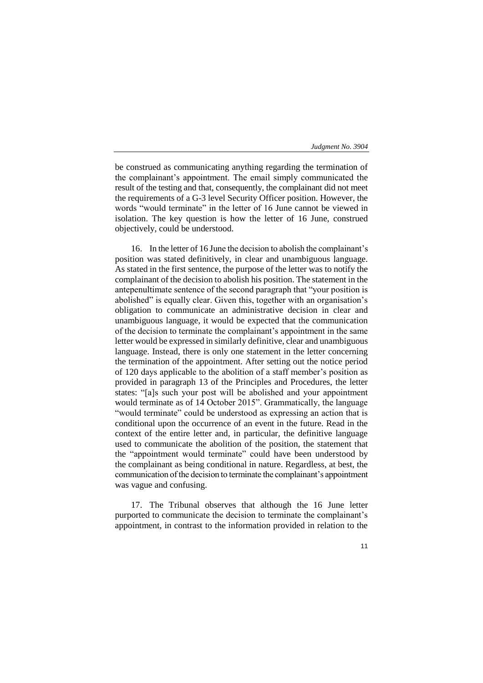be construed as communicating anything regarding the termination of the complainant's appointment. The email simply communicated the result of the testing and that, consequently, the complainant did not meet the requirements of a G-3 level Security Officer position. However, the words "would terminate" in the letter of 16 June cannot be viewed in isolation. The key question is how the letter of 16 June, construed objectively, could be understood.

16. In the letter of 16 June the decision to abolish the complainant's position was stated definitively, in clear and unambiguous language. As stated in the first sentence, the purpose of the letter was to notify the complainant of the decision to abolish his position. The statement in the antepenultimate sentence of the second paragraph that "your position is abolished" is equally clear. Given this, together with an organisation's obligation to communicate an administrative decision in clear and unambiguous language, it would be expected that the communication of the decision to terminate the complainant's appointment in the same letter would be expressed in similarly definitive, clear and unambiguous language. Instead, there is only one statement in the letter concerning the termination of the appointment. After setting out the notice period of 120 days applicable to the abolition of a staff member's position as provided in paragraph 13 of the Principles and Procedures, the letter states: "[a]s such your post will be abolished and your appointment would terminate as of 14 October 2015". Grammatically, the language "would terminate" could be understood as expressing an action that is conditional upon the occurrence of an event in the future. Read in the context of the entire letter and, in particular, the definitive language used to communicate the abolition of the position, the statement that the "appointment would terminate" could have been understood by the complainant as being conditional in nature. Regardless, at best, the communication of the decision to terminate the complainant's appointment was vague and confusing.

17. The Tribunal observes that although the 16 June letter purported to communicate the decision to terminate the complainant's appointment, in contrast to the information provided in relation to the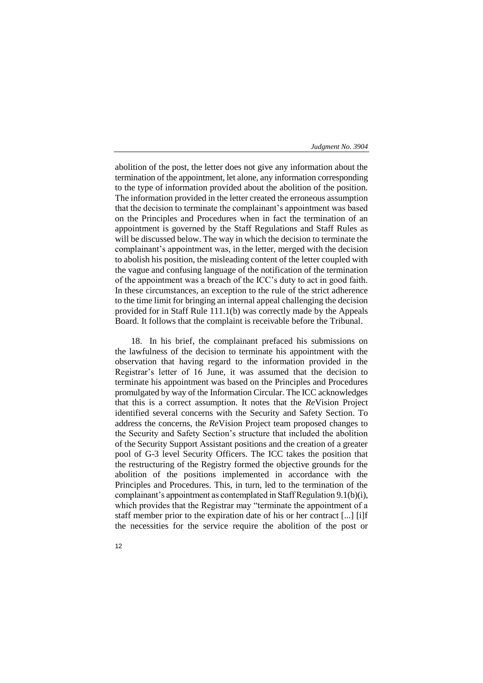abolition of the post, the letter does not give any information about the termination of the appointment, let alone, any information corresponding to the type of information provided about the abolition of the position. The information provided in the letter created the erroneous assumption that the decision to terminate the complainant's appointment was based on the Principles and Procedures when in fact the termination of an appointment is governed by the Staff Regulations and Staff Rules as will be discussed below. The way in which the decision to terminate the complainant's appointment was, in the letter, merged with the decision to abolish his position, the misleading content of the letter coupled with the vague and confusing language of the notification of the termination of the appointment was a breach of the ICC's duty to act in good faith. In these circumstances, an exception to the rule of the strict adherence to the time limit for bringing an internal appeal challenging the decision provided for in Staff Rule 111.1(b) was correctly made by the Appeals Board. It follows that the complaint is receivable before the Tribunal.

18. In his brief, the complainant prefaced his submissions on the lawfulness of the decision to terminate his appointment with the observation that having regard to the information provided in the Registrar's letter of 16 June, it was assumed that the decision to terminate his appointment was based on the Principles and Procedures promulgated by way of the Information Circular. The ICC acknowledges that this is a correct assumption. It notes that the *Re*Vision Project identified several concerns with the Security and Safety Section. To address the concerns, the *Re*Vision Project team proposed changes to the Security and Safety Section's structure that included the abolition of the Security Support Assistant positions and the creation of a greater pool of G-3 level Security Officers. The ICC takes the position that the restructuring of the Registry formed the objective grounds for the abolition of the positions implemented in accordance with the Principles and Procedures. This, in turn, led to the termination of the complainant's appointment as contemplated in Staff Regulation 9.1(b)(i), which provides that the Registrar may "terminate the appointment of a staff member prior to the expiration date of his or her contract [...] [i]f the necessities for the service require the abolition of the post or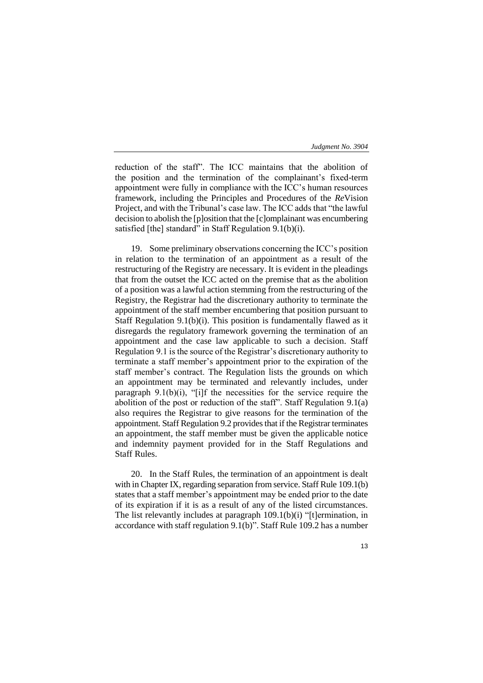reduction of the staff". The ICC maintains that the abolition of the position and the termination of the complainant's fixed-term appointment were fully in compliance with the ICC's human resources framework, including the Principles and Procedures of the *Re*Vision Project, and with the Tribunal's case law. The ICC adds that "the lawful decision to abolish the [p]osition that the [c]omplainant was encumbering satisfied [the] standard" in Staff Regulation 9.1(b)(i).

19. Some preliminary observations concerning the ICC's position in relation to the termination of an appointment as a result of the restructuring of the Registry are necessary. It is evident in the pleadings that from the outset the ICC acted on the premise that as the abolition of a position was a lawful action stemming from the restructuring of the Registry, the Registrar had the discretionary authority to terminate the appointment of the staff member encumbering that position pursuant to Staff Regulation 9.1(b)(i). This position is fundamentally flawed as it disregards the regulatory framework governing the termination of an appointment and the case law applicable to such a decision. Staff Regulation 9.1 is the source of the Registrar's discretionary authority to terminate a staff member's appointment prior to the expiration of the staff member's contract. The Regulation lists the grounds on which an appointment may be terminated and relevantly includes, under paragraph  $9.1(b)(i)$ , "[i]f the necessities for the service require the abolition of the post or reduction of the staff". Staff Regulation 9.1(a) also requires the Registrar to give reasons for the termination of the appointment. Staff Regulation 9.2 provides that if the Registrar terminates an appointment, the staff member must be given the applicable notice and indemnity payment provided for in the Staff Regulations and Staff Rules.

20. In the Staff Rules, the termination of an appointment is dealt with in Chapter IX, regarding separation from service. Staff Rule 109.1(b) states that a staff member's appointment may be ended prior to the date of its expiration if it is as a result of any of the listed circumstances. The list relevantly includes at paragraph 109.1(b)(i) "[t]ermination, in accordance with staff regulation 9.1(b)". Staff Rule 109.2 has a number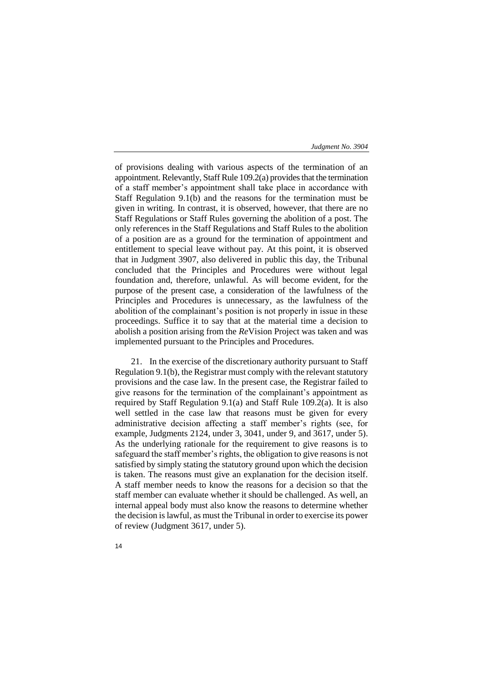of provisions dealing with various aspects of the termination of an appointment. Relevantly, Staff Rule 109.2(a) provides that the termination of a staff member's appointment shall take place in accordance with Staff Regulation 9.1(b) and the reasons for the termination must be given in writing. In contrast, it is observed, however, that there are no Staff Regulations or Staff Rules governing the abolition of a post. The only references in the Staff Regulations and Staff Rules to the abolition of a position are as a ground for the termination of appointment and entitlement to special leave without pay. At this point, it is observed that in Judgment 3907, also delivered in public this day, the Tribunal concluded that the Principles and Procedures were without legal foundation and, therefore, unlawful. As will become evident, for the purpose of the present case, a consideration of the lawfulness of the Principles and Procedures is unnecessary, as the lawfulness of the abolition of the complainant's position is not properly in issue in these proceedings. Suffice it to say that at the material time a decision to abolish a position arising from the *Re*Vision Project was taken and was implemented pursuant to the Principles and Procedures.

21. In the exercise of the discretionary authority pursuant to Staff Regulation 9.1(b), the Registrar must comply with the relevant statutory provisions and the case law. In the present case, the Registrar failed to give reasons for the termination of the complainant's appointment as required by Staff Regulation 9.1(a) and Staff Rule 109.2(a). It is also well settled in the case law that reasons must be given for every administrative decision affecting a staff member's rights (see, for example, Judgments 2124, under 3, 3041, under 9, and 3617, under 5). As the underlying rationale for the requirement to give reasons is to safeguard the staff member's rights, the obligation to give reasons is not satisfied by simply stating the statutory ground upon which the decision is taken. The reasons must give an explanation for the decision itself. A staff member needs to know the reasons for a decision so that the staff member can evaluate whether it should be challenged. As well, an internal appeal body must also know the reasons to determine whether the decision is lawful, as must the Tribunal in order to exercise its power of review (Judgment 3617, under 5).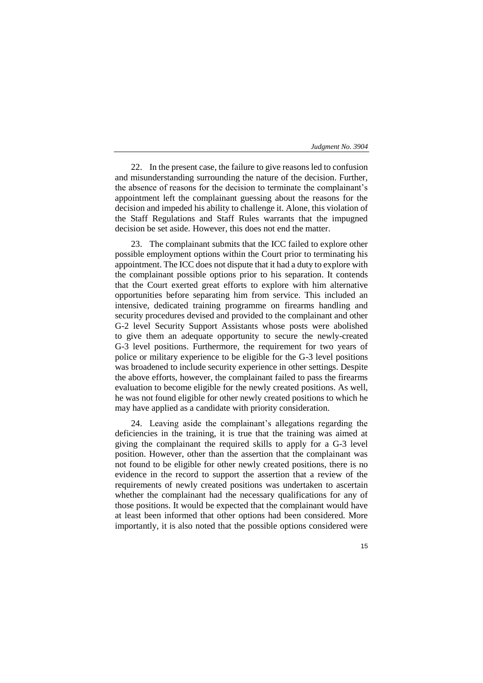22. In the present case, the failure to give reasons led to confusion and misunderstanding surrounding the nature of the decision. Further, the absence of reasons for the decision to terminate the complainant's appointment left the complainant guessing about the reasons for the decision and impeded his ability to challenge it. Alone, this violation of the Staff Regulations and Staff Rules warrants that the impugned decision be set aside. However, this does not end the matter.

23. The complainant submits that the ICC failed to explore other possible employment options within the Court prior to terminating his appointment. The ICC does not dispute that it had a duty to explore with the complainant possible options prior to his separation. It contends that the Court exerted great efforts to explore with him alternative opportunities before separating him from service. This included an intensive, dedicated training programme on firearms handling and security procedures devised and provided to the complainant and other G-2 level Security Support Assistants whose posts were abolished to give them an adequate opportunity to secure the newly-created G-3 level positions. Furthermore, the requirement for two years of police or military experience to be eligible for the G-3 level positions was broadened to include security experience in other settings. Despite the above efforts, however, the complainant failed to pass the firearms evaluation to become eligible for the newly created positions. As well, he was not found eligible for other newly created positions to which he may have applied as a candidate with priority consideration.

24. Leaving aside the complainant's allegations regarding the deficiencies in the training, it is true that the training was aimed at giving the complainant the required skills to apply for a G-3 level position. However, other than the assertion that the complainant was not found to be eligible for other newly created positions, there is no evidence in the record to support the assertion that a review of the requirements of newly created positions was undertaken to ascertain whether the complainant had the necessary qualifications for any of those positions. It would be expected that the complainant would have at least been informed that other options had been considered. More importantly, it is also noted that the possible options considered were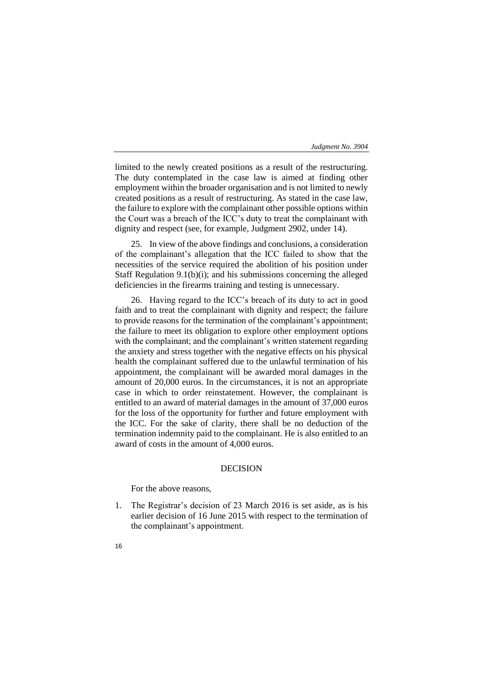limited to the newly created positions as a result of the restructuring. The duty contemplated in the case law is aimed at finding other employment within the broader organisation and is not limited to newly created positions as a result of restructuring. As stated in the case law, the failure to explore with the complainant other possible options within the Court was a breach of the ICC's duty to treat the complainant with dignity and respect (see, for example, Judgment 2902, under 14).

25. In view of the above findings and conclusions, a consideration of the complainant's allegation that the ICC failed to show that the necessities of the service required the abolition of his position under Staff Regulation 9.1(b)(i); and his submissions concerning the alleged deficiencies in the firearms training and testing is unnecessary.

26. Having regard to the ICC's breach of its duty to act in good faith and to treat the complainant with dignity and respect; the failure to provide reasons for the termination of the complainant's appointment; the failure to meet its obligation to explore other employment options with the complainant; and the complainant's written statement regarding the anxiety and stress together with the negative effects on his physical health the complainant suffered due to the unlawful termination of his appointment, the complainant will be awarded moral damages in the amount of 20,000 euros. In the circumstances, it is not an appropriate case in which to order reinstatement. However, the complainant is entitled to an award of material damages in the amount of 37,000 euros for the loss of the opportunity for further and future employment with the ICC. For the sake of clarity, there shall be no deduction of the termination indemnity paid to the complainant. He is also entitled to an award of costs in the amount of 4,000 euros.

# DECISION

For the above reasons,

- 1. The Registrar's decision of 23 March 2016 is set aside, as is his earlier decision of 16 June 2015 with respect to the termination of the complainant's appointment.
- 16